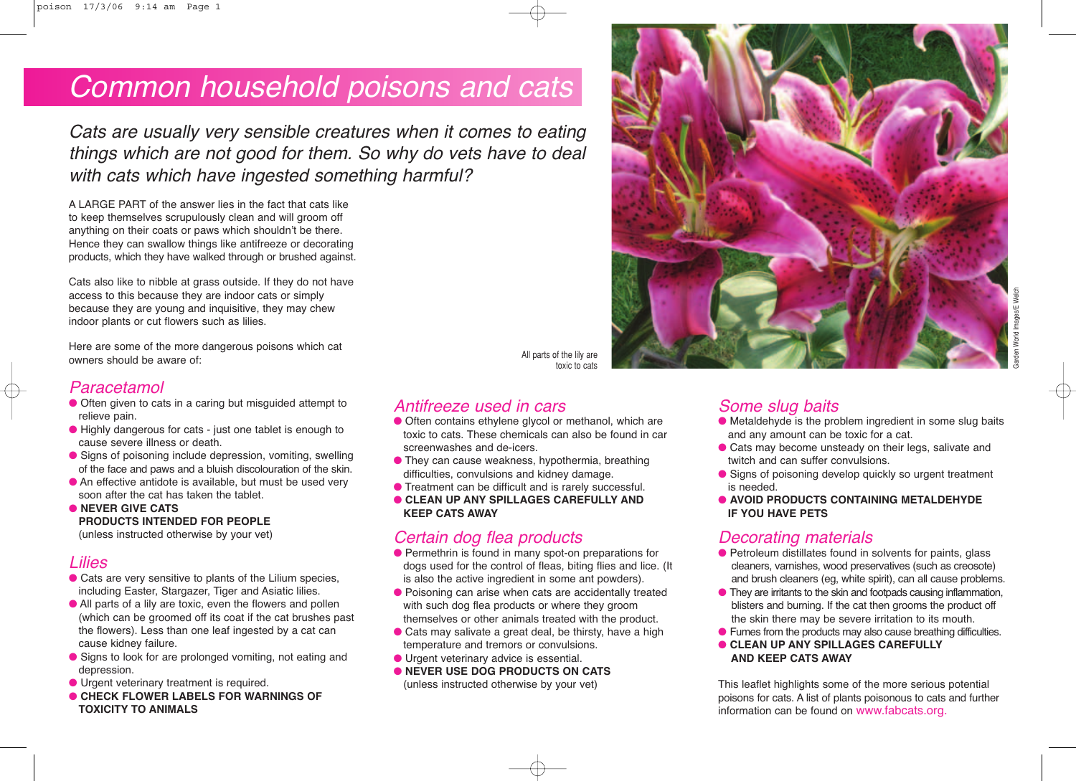# Common household poisons and cats

Cats are usually very sensible creatures when it comes to eating things which are not good for them. So why do vets have to deal with cats which have ingested something harmful?

A LARGE PART of the answer lies in the fact that cats like to keep themselves scrupulously clean and will groom off anything on their coats or paws which shouldn't be there. Hence they can swallow things like antifreeze or decorating products, which they have walked through or brushed against.

Cats also like to nibble at grass outside. If they do not have access to this because they are indoor cats or simply because they are young and inquisitive, they may chew indoor plants or cut flowers such as lilies.

Here are some of the more dangerous poisons which cat owners should be aware of:

#### Paracetamol

- Often given to cats in a caring but misguided attempt to relieve pain.
- Highly dangerous for cats just one tablet is enough to cause severe illness or death.
- Signs of poisoning include depression, vomiting, swelling of the face and paws and a bluish discolouration of the skin.
- $\bullet$  An effective antidote is available, but must be used very soon after the cat has taken the tablet.
- **NEVER GIVE CATS PRODUCTS INTENDED FOR PEOPLE**  (unless instructed otherwise by your vet)

#### Lilies

- Cats are very sensitive to plants of the Lilium species, including Easter, Stargazer, Tiger and Asiatic lilies.
- All parts of a lily are toxic, even the flowers and pollen (which can be groomed off its coat if the cat brushes past the flowers). Less than one leaf ingested by a cat can cause kidney failure.
- Signs to look for are prolonged vomiting, not eating and depression.
- Urgent veterinary treatment is required.
- **CHECK FLOWER LABELS FOR WARNINGS OF TOXICITY TO ANIMALS**

toxic to cats

All parts of the lily are

#### Antifreeze used in cars

- Often contains ethylene glycol or methanol, which are toxic to cats. These chemicals can also be found in car screenwashes and de-icers.
- They can cause weakness, hypothermia, breathing difficulties, convulsions and kidney damage.
- Treatment can be difficult and is rarely successful.
- **CLEAN UP ANY SPILLAGES CAREFULLY AND KEEP CATS AWAY**

### Certain dog flea products

- Permethrin is found in many spot-on preparations for dogs used for the control of fleas, biting flies and lice. (It is also the active ingredient in some ant powders).
- Poisoning can arise when cats are accidentally treated with such dog flea products or where they groom themselves or other animals treated with the product.
- Cats may salivate a great deal, be thirsty, have a high temperature and tremors or convulsions.
- Urgent veterinary advice is essential.
- **NEVER USE DOG PRODUCTS ON CATS** (unless instructed otherwise by your vet)

#### Some slug baits

- Metaldehyde is the problem ingredient in some slug baits and any amount can be toxic for a cat.
- Cats may become unsteady on their legs, salivate and twitch and can suffer convulsions.
- Signs of poisoning develop quickly so urgent treatment is needed.
- **AVOID PRODUCTS CONTAINING METALDEHYDE IF YOU HAVE PETS**

#### Decorating materials

- Petroleum distillates found in solvents for paints, glass cleaners, varnishes, wood preservatives (such as creosote) and brush cleaners (eg, white spirit), can all cause problems.
- They are irritants to the skin and footpads causing inflammation, blisters and burning. If the cat then grooms the product off the skin there may be severe irritation to its mouth.
- Fumes from the products may also cause breathing difficulties. ● **CLEAN UP ANY SPILLAGES CAREFULLY AND KEEP CATS AWAY**

This leaflet highlights some of the more serious potential poisons for cats. A list of plants poisonous to cats and further information can be found on www.fabcats.org.